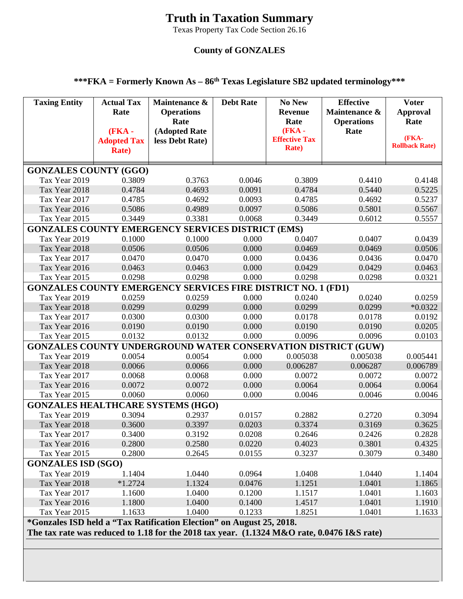## **Truth in Taxation Summary**

Texas Property Tax Code Section 26.16

## **County of GONZALES**

## **\*\*\*FKA = Formerly Known As – 86th Texas Legislature SB2 updated terminology\*\*\***

| <b>Taxing Entity</b>                                                                                                                                                      | <b>Actual Tax</b><br>Rate<br>$(FKA -$<br><b>Adopted Tax</b><br><b>Rate</b> ) | Maintenance &<br><b>Operations</b><br>Rate<br>(Adopted Rate<br>less Debt Rate) | <b>Debt Rate</b> | <b>No New</b><br><b>Revenue</b><br>Rate<br><b>(FKA -</b><br><b>Effective Tax</b><br><b>Rate</b> ) | <b>Effective</b><br>Maintenance &<br><b>Operations</b><br>Rate | <b>Voter</b><br><b>Approval</b><br>Rate<br>(FKA-<br><b>Rollback Rate)</b> |
|---------------------------------------------------------------------------------------------------------------------------------------------------------------------------|------------------------------------------------------------------------------|--------------------------------------------------------------------------------|------------------|---------------------------------------------------------------------------------------------------|----------------------------------------------------------------|---------------------------------------------------------------------------|
| <b>GONZALES COUNTY (GGO)</b>                                                                                                                                              |                                                                              |                                                                                |                  |                                                                                                   |                                                                |                                                                           |
| Tax Year 2019                                                                                                                                                             | 0.3809                                                                       | 0.3763                                                                         | 0.0046           | 0.3809                                                                                            | 0.4410                                                         | 0.4148                                                                    |
| Tax Year 2018                                                                                                                                                             | 0.4784                                                                       | 0.4693                                                                         | 0.0091           | 0.4784                                                                                            | 0.5440                                                         | 0.5225                                                                    |
| Tax Year 2017                                                                                                                                                             | 0.4785                                                                       | 0.4692                                                                         | 0.0093           | 0.4785                                                                                            | 0.4692                                                         | 0.5237                                                                    |
| Tax Year 2016                                                                                                                                                             | 0.5086                                                                       | 0.4989                                                                         | 0.0097           | 0.5086                                                                                            | 0.5801                                                         | 0.5567                                                                    |
| Tax Year 2015                                                                                                                                                             | 0.3449                                                                       | 0.3381                                                                         | 0.0068           | 0.3449                                                                                            | 0.6012                                                         | 0.5557                                                                    |
| <b>GONZALES COUNTY EMERGENCY SERVICES DISTRICT (EMS)</b>                                                                                                                  |                                                                              |                                                                                |                  |                                                                                                   |                                                                |                                                                           |
| Tax Year 2019                                                                                                                                                             | 0.1000                                                                       | 0.1000                                                                         | 0.000            | 0.0407                                                                                            | 0.0407                                                         | 0.0439                                                                    |
| Tax Year 2018                                                                                                                                                             | 0.0506                                                                       | 0.0506                                                                         | 0.000            | 0.0469                                                                                            | 0.0469                                                         | 0.0506                                                                    |
| Tax Year 2017                                                                                                                                                             | 0.0470                                                                       | 0.0470                                                                         | 0.000            | 0.0436                                                                                            | 0.0436                                                         | 0.0470                                                                    |
| Tax Year 2016                                                                                                                                                             | 0.0463                                                                       | 0.0463                                                                         | 0.000            | 0.0429                                                                                            | 0.0429<br>0.0298                                               | 0.0463                                                                    |
| Tax Year 2015<br><b>GONZALES COUNTY EMERGENCY SERVICES FIRE DISTRICT NO. 1 (FD1)</b>                                                                                      | 0.0298                                                                       | 0.0298                                                                         | 0.000            | 0.0298                                                                                            |                                                                | 0.0321                                                                    |
| Tax Year 2019                                                                                                                                                             | 0.0259                                                                       | 0.0259                                                                         | 0.000            | 0.0240                                                                                            | 0.0240                                                         | 0.0259                                                                    |
| Tax Year 2018                                                                                                                                                             | 0.0299                                                                       | 0.0299                                                                         | 0.000            | 0.0299                                                                                            | 0.0299                                                         | $*0.0322$                                                                 |
| Tax Year 2017                                                                                                                                                             | 0.0300                                                                       | 0.0300                                                                         | 0.000            | 0.0178                                                                                            | 0.0178                                                         | 0.0192                                                                    |
| Tax Year 2016                                                                                                                                                             | 0.0190                                                                       | 0.0190                                                                         | 0.000            | 0.0190                                                                                            | 0.0190                                                         | 0.0205                                                                    |
| Tax Year 2015                                                                                                                                                             | 0.0132                                                                       | 0.0132                                                                         | 0.000            | 0.0096                                                                                            | 0.0096                                                         | 0.0103                                                                    |
| <b>GONZALES COUNTY UNDERGROUND WATER CONSERVATION DISTRICT (GUW)</b>                                                                                                      |                                                                              |                                                                                |                  |                                                                                                   |                                                                |                                                                           |
| Tax Year 2019                                                                                                                                                             | 0.0054                                                                       | 0.0054                                                                         | 0.000            | 0.005038                                                                                          | 0.005038                                                       | 0.005441                                                                  |
| Tax Year 2018                                                                                                                                                             | 0.0066                                                                       | 0.0066                                                                         | 0.000            | 0.006287                                                                                          | 0.006287                                                       | 0.006789                                                                  |
| Tax Year 2017                                                                                                                                                             | 0.0068                                                                       | 0.0068                                                                         | 0.000            | 0.0072                                                                                            | 0.0072                                                         | 0.0072                                                                    |
| Tax Year 2016                                                                                                                                                             | 0.0072                                                                       | 0.0072                                                                         | 0.000            | 0.0064                                                                                            | 0.0064                                                         | 0.0064                                                                    |
| Tax Year 2015                                                                                                                                                             | 0.0060                                                                       | 0.0060                                                                         | 0.000            | 0.0046                                                                                            | 0.0046                                                         | 0.0046                                                                    |
| <b>GONZALES HEALTHCARE SYSTEMS (HGO)</b>                                                                                                                                  |                                                                              |                                                                                |                  |                                                                                                   |                                                                |                                                                           |
| Tax Year 2019                                                                                                                                                             | 0.3094                                                                       | 0.2937                                                                         | 0.0157           | 0.2882                                                                                            | 0.2720                                                         | 0.3094                                                                    |
| Tax Year 2018                                                                                                                                                             | 0.3600                                                                       | 0.3397                                                                         | 0.0203           | 0.3374                                                                                            | 0.3169                                                         | 0.3625                                                                    |
| Tax Year 2017                                                                                                                                                             | 0.3400                                                                       | 0.3192                                                                         | 0.0208           | 0.2646                                                                                            | 0.2426                                                         | 0.2828                                                                    |
| Tax Year 2016                                                                                                                                                             | 0.2800                                                                       | 0.2580                                                                         | 0.0220           | 0.4023                                                                                            | 0.3801                                                         | 0.4325                                                                    |
| Tax Year 2015                                                                                                                                                             | 0.2800                                                                       | 0.2645                                                                         | 0.0155           | 0.3237                                                                                            | 0.3079                                                         | 0.3480                                                                    |
| <b>GONZALES ISD (SGO)</b>                                                                                                                                                 |                                                                              |                                                                                |                  |                                                                                                   |                                                                |                                                                           |
| Tax Year 2019                                                                                                                                                             | 1.1404                                                                       | 1.0440                                                                         | 0.0964           | 1.0408                                                                                            | 1.0440                                                         | 1.1404                                                                    |
| Tax Year 2018                                                                                                                                                             | $*1.2724$                                                                    | 1.1324                                                                         | 0.0476           | 1.1251                                                                                            | 1.0401                                                         | 1.1865                                                                    |
| Tax Year 2017                                                                                                                                                             | 1.1600                                                                       | 1.0400                                                                         | 0.1200           | 1.1517                                                                                            | 1.0401                                                         | 1.1603                                                                    |
| Tax Year 2016<br>Tax Year 2015                                                                                                                                            | 1.1800<br>1.1633                                                             | 1.0400<br>1.0400                                                               | 0.1400<br>0.1233 | 1.4517<br>1.8251                                                                                  | 1.0401<br>1.0401                                               | 1.1910<br>1.1633                                                          |
|                                                                                                                                                                           |                                                                              |                                                                                |                  |                                                                                                   |                                                                |                                                                           |
| <i>*Gonzales ISD held a "Tax Ratification Election" on August 25, 2018.</i><br>The tax rate was reduced to 1.18 for the 2018 tax year. (1.1324 M&O rate, 0.0476 I&S rate) |                                                                              |                                                                                |                  |                                                                                                   |                                                                |                                                                           |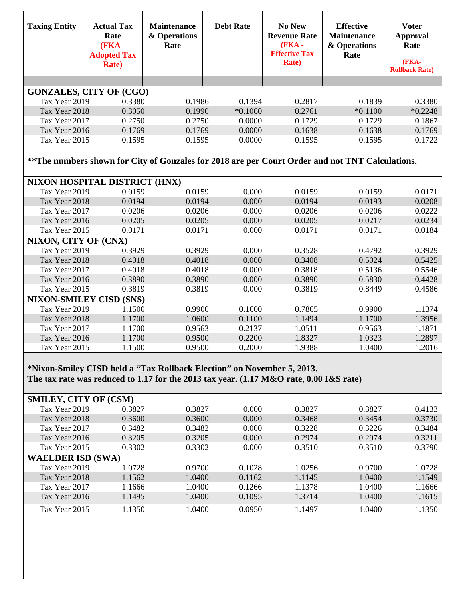| <b>Taxing Entity</b>                                                                                                                                                                      | <b>Actual Tax</b><br>Rate<br><b>(FKA -</b><br><b>Adopted Tax</b><br><b>Rate</b> ) | <b>Maintenance</b><br>& Operations<br>Rate | <b>Debt Rate</b> | No New<br><b>Revenue Rate</b><br>(FKA -<br><b>Effective Tax</b><br><b>Rate</b> ) | <b>Effective</b><br><b>Maintenance</b><br>& Operations<br>Rate | <b>Voter</b><br><b>Approval</b><br>Rate<br>(FKA-<br><b>Rollback Rate)</b> |  |  |
|-------------------------------------------------------------------------------------------------------------------------------------------------------------------------------------------|-----------------------------------------------------------------------------------|--------------------------------------------|------------------|----------------------------------------------------------------------------------|----------------------------------------------------------------|---------------------------------------------------------------------------|--|--|
|                                                                                                                                                                                           |                                                                                   |                                            |                  |                                                                                  |                                                                |                                                                           |  |  |
|                                                                                                                                                                                           | <b>GONZALES, CITY OF (CGO)</b>                                                    |                                            |                  |                                                                                  |                                                                |                                                                           |  |  |
| Tax Year 2019                                                                                                                                                                             | 0.3380                                                                            | 0.1986                                     | 0.1394           | 0.2817                                                                           | 0.1839                                                         | 0.3380                                                                    |  |  |
| Tax Year 2018                                                                                                                                                                             | 0.3050                                                                            | 0.1990                                     | $*0.1060$        | 0.2761                                                                           | $*0.1100$                                                      | $*0.2248$                                                                 |  |  |
| Tax Year 2017                                                                                                                                                                             | 0.2750                                                                            | 0.2750                                     | 0.0000           | 0.1729                                                                           | 0.1729                                                         | 0.1867                                                                    |  |  |
| Tax Year 2016                                                                                                                                                                             | 0.1769                                                                            | 0.1769                                     | 0.0000           | 0.1638                                                                           | 0.1638                                                         | 0.1769                                                                    |  |  |
| Tax Year 2015                                                                                                                                                                             | 0.1595                                                                            | 0.1595                                     | 0.0000           | 0.1595                                                                           | 0.1595                                                         | 0.1722                                                                    |  |  |
| ** The numbers shown for City of Gonzales for 2018 are per Court Order and not TNT Calculations.                                                                                          |                                                                                   |                                            |                  |                                                                                  |                                                                |                                                                           |  |  |
|                                                                                                                                                                                           | NIXON HOSPITAL DISTRICT (HNX)                                                     |                                            |                  |                                                                                  |                                                                |                                                                           |  |  |
| Tax Year 2019                                                                                                                                                                             | 0.0159                                                                            | 0.0159                                     | 0.000            | 0.0159                                                                           | 0.0159                                                         | 0.0171                                                                    |  |  |
| Tax Year 2018                                                                                                                                                                             | 0.0194                                                                            | 0.0194                                     | 0.000            | 0.0194                                                                           | 0.0193                                                         | 0.0208                                                                    |  |  |
| Tax Year 2017                                                                                                                                                                             | 0.0206                                                                            | 0.0206                                     | 0.000            | 0.0206                                                                           | 0.0206                                                         | 0.0222                                                                    |  |  |
| Tax Year 2016                                                                                                                                                                             | 0.0205                                                                            | 0.0205                                     | 0.000            | 0.0205                                                                           | 0.0217                                                         | 0.0234                                                                    |  |  |
| Tax Year 2015                                                                                                                                                                             | 0.0171                                                                            | 0.0171                                     | 0.000            | 0.0171                                                                           | 0.0171                                                         | 0.0184                                                                    |  |  |
| NIXON, CITY OF (CNX)                                                                                                                                                                      |                                                                                   |                                            |                  |                                                                                  |                                                                |                                                                           |  |  |
| Tax Year 2019                                                                                                                                                                             | 0.3929                                                                            | 0.3929                                     | 0.000            | 0.3528                                                                           | 0.4792                                                         | 0.3929                                                                    |  |  |
| Tax Year 2018                                                                                                                                                                             | 0.4018                                                                            | 0.4018                                     | 0.000            | 0.3408                                                                           | 0.5024                                                         | 0.5425                                                                    |  |  |
| Tax Year 2017                                                                                                                                                                             | 0.4018                                                                            | 0.4018                                     | 0.000            | 0.3818                                                                           | 0.5136                                                         | 0.5546                                                                    |  |  |
| Tax Year 2016                                                                                                                                                                             | 0.3890                                                                            | 0.3890                                     | 0.000            | 0.3890                                                                           | 0.5830                                                         | 0.4428                                                                    |  |  |
| Tax Year 2015                                                                                                                                                                             | 0.3819                                                                            | 0.3819                                     | 0.000            | 0.3819                                                                           | 0.8449                                                         | 0.4586                                                                    |  |  |
|                                                                                                                                                                                           | <b>NIXON-SMILEY CISD (SNS)</b>                                                    |                                            |                  |                                                                                  |                                                                |                                                                           |  |  |
| Tax Year 2019                                                                                                                                                                             | 1.1500                                                                            | 0.9900                                     | 0.1600           | 0.7865                                                                           | 0.9900                                                         | 1.1374                                                                    |  |  |
| Tax Year 2018                                                                                                                                                                             | 1.1700                                                                            | 1.0600                                     | 0.1100           | 1.1494                                                                           | 1.1700                                                         | 1.3956                                                                    |  |  |
| Tax Year 2017                                                                                                                                                                             | 1.1700                                                                            | 0.9563                                     | 0.2137           | 1.0511                                                                           | 0.9563                                                         | 1.1871                                                                    |  |  |
| Tax Year 2016                                                                                                                                                                             | 1.1700                                                                            | 0.9500                                     | 0.2200           | 1.8327                                                                           | 1.0323                                                         | 1.2897                                                                    |  |  |
| Tax Year 2015                                                                                                                                                                             | 1.1500                                                                            | 0.9500                                     | 0.2000           | 1.9388                                                                           | 1.0400                                                         | 1.2016                                                                    |  |  |
| *Nixon-Smiley CISD held a "Tax Rollback Election" on November 5, 2013.<br>The tax rate was reduced to 1.17 for the 2013 tax year. (1.17 M&O rate, 0.00 I&S rate)<br>SMILEY, CITY OF (CSM) |                                                                                   |                                            |                  |                                                                                  |                                                                |                                                                           |  |  |
| Tax Year 2019                                                                                                                                                                             | 0.3827                                                                            | 0.3827                                     | 0.000            | 0.3827                                                                           | 0.3827                                                         | 0.4133                                                                    |  |  |
| Tax Year 2018                                                                                                                                                                             | 0.3600                                                                            | 0.3600                                     | 0.000            | 0.3468                                                                           | 0.3454                                                         | 0.3730                                                                    |  |  |
| Tax Year 2017                                                                                                                                                                             | 0.3482                                                                            | 0.3482                                     | 0.000            | 0.3228                                                                           | 0.3226                                                         | 0.3484                                                                    |  |  |
| Tax Year 2016                                                                                                                                                                             | 0.3205                                                                            | 0.3205                                     | 0.000            | 0.2974                                                                           | 0.2974                                                         | 0.3211                                                                    |  |  |
| Tax Year 2015                                                                                                                                                                             | 0.3302                                                                            | 0.3302                                     | 0.000            | 0.3510                                                                           | 0.3510                                                         | 0.3790                                                                    |  |  |
| <b>WAELDER ISD (SWA)</b>                                                                                                                                                                  |                                                                                   |                                            |                  |                                                                                  |                                                                |                                                                           |  |  |
| Tax Year 2019                                                                                                                                                                             | 1.0728                                                                            | 0.9700                                     | 0.1028           | 1.0256                                                                           | 0.9700                                                         | 1.0728                                                                    |  |  |
| Tax Year 2018                                                                                                                                                                             | 1.1562                                                                            | 1.0400                                     | 0.1162           | 1.1145                                                                           | 1.0400                                                         | 1.1549                                                                    |  |  |
| Tax Year 2017                                                                                                                                                                             | 1.1666                                                                            | 1.0400                                     | 0.1266           | 1.1378                                                                           | 1.0400                                                         | 1.1666                                                                    |  |  |
| Tax Year 2016                                                                                                                                                                             | 1.1495                                                                            | 1.0400                                     | 0.1095           | 1.3714                                                                           | 1.0400                                                         | 1.1615                                                                    |  |  |
|                                                                                                                                                                                           |                                                                                   |                                            |                  |                                                                                  |                                                                |                                                                           |  |  |
| Tax Year 2015                                                                                                                                                                             | 1.1350                                                                            | 1.0400                                     | 0.0950           | 1.1497                                                                           | 1.0400                                                         | 1.1350                                                                    |  |  |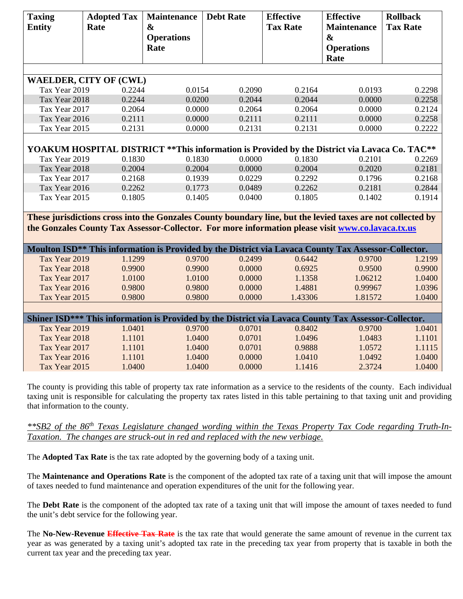| <b>Taxing</b><br><b>Entity</b>                                                                       | <b>Adopted Tax</b><br>Rate    | <b>Maintenance</b><br>$\boldsymbol{\&}$<br><b>Operations</b><br>Rate | <b>Debt Rate</b>                                                                                                 | <b>Effective</b><br><b>Tax Rate</b> | <b>Effective</b><br><b>Maintenance</b><br>$\boldsymbol{\&}$<br><b>Operations</b><br>Rate | <b>Rollback</b><br><b>Tax Rate</b> |  |  |
|------------------------------------------------------------------------------------------------------|-------------------------------|----------------------------------------------------------------------|------------------------------------------------------------------------------------------------------------------|-------------------------------------|------------------------------------------------------------------------------------------|------------------------------------|--|--|
|                                                                                                      |                               |                                                                      |                                                                                                                  |                                     |                                                                                          |                                    |  |  |
|                                                                                                      | <b>WAELDER, CITY OF (CWL)</b> |                                                                      |                                                                                                                  |                                     |                                                                                          |                                    |  |  |
| Tax Year 2019<br>Tax Year 2018                                                                       | 0.2244<br>0.2244              | 0.0154<br>0.0200                                                     | 0.2090<br>0.2044                                                                                                 | 0.2164<br>0.2044                    | 0.0193<br>0.0000                                                                         | 0.2298<br>0.2258                   |  |  |
| Tax Year 2017                                                                                        | 0.2064                        | 0.0000                                                               | 0.2064                                                                                                           | 0.2064                              | 0.0000                                                                                   | 0.2124                             |  |  |
| Tax Year 2016                                                                                        | 0.2111                        | 0.0000                                                               | 0.2111                                                                                                           | 0.2111                              | 0.0000                                                                                   | 0.2258                             |  |  |
| Tax Year 2015                                                                                        | 0.2131                        | 0.0000                                                               | 0.2131                                                                                                           | 0.2131                              | 0.0000                                                                                   | 0.2222                             |  |  |
|                                                                                                      |                               |                                                                      |                                                                                                                  |                                     |                                                                                          |                                    |  |  |
|                                                                                                      |                               |                                                                      | YOAKUM HOSPITAL DISTRICT ** This information is Provided by the District via Lavaca Co. TAC**                    |                                     |                                                                                          |                                    |  |  |
| Tax Year 2019                                                                                        | 0.1830                        | 0.1830                                                               | 0.0000                                                                                                           | 0.1830                              | 0.2101                                                                                   | 0.2269                             |  |  |
| Tax Year 2018                                                                                        | 0.2004                        | 0.2004                                                               | 0.0000                                                                                                           | 0.2004                              | 0.2020                                                                                   | 0.2181                             |  |  |
| Tax Year 2017                                                                                        | 0.2168                        | 0.1939                                                               | 0.0229                                                                                                           | 0.2292                              | 0.1796                                                                                   | 0.2168                             |  |  |
| Tax Year 2016                                                                                        | 0.2262                        | 0.1773                                                               | 0.0489                                                                                                           | 0.2262                              | 0.2181                                                                                   | 0.2844                             |  |  |
| Tax Year 2015                                                                                        | 0.1805                        | 0.1405                                                               | 0.0400                                                                                                           | 0.1805                              | 0.1402                                                                                   | 0.1914                             |  |  |
|                                                                                                      |                               |                                                                      |                                                                                                                  |                                     |                                                                                          |                                    |  |  |
|                                                                                                      |                               |                                                                      | These jurisdictions cross into the Gonzales County boundary line, but the levied taxes are not collected by      |                                     |                                                                                          |                                    |  |  |
|                                                                                                      |                               |                                                                      | the Gonzales County Tax Assessor-Collector. For more information please visit www.co.lavaca.tx.us                |                                     |                                                                                          |                                    |  |  |
|                                                                                                      |                               |                                                                      |                                                                                                                  |                                     |                                                                                          |                                    |  |  |
|                                                                                                      |                               |                                                                      | Moulton ISD <sup>**</sup> This information is Provided by the District via Lavaca County Tax Assessor-Collector. |                                     |                                                                                          |                                    |  |  |
| Tax Year 2019                                                                                        | 1.1299                        | 0.9700                                                               | 0.2499                                                                                                           | 0.6442                              | 0.9700                                                                                   | 1.2199                             |  |  |
| Tax Year 2018                                                                                        | 0.9900                        | 0.9900                                                               | 0.0000                                                                                                           | 0.6925                              | 0.9500                                                                                   | 0.9900                             |  |  |
| Tax Year 2017                                                                                        | 1.0100                        | 1.0100                                                               | 0.0000                                                                                                           | 1.1358                              | 1.06212                                                                                  | 1.0400                             |  |  |
| Tax Year 2016                                                                                        | 0.9800                        | 0.9800                                                               | 0.0000                                                                                                           | 1.4881                              | 0.99967                                                                                  | 1.0396                             |  |  |
| Tax Year 2015                                                                                        | 0.9800                        | 0.9800                                                               | 0.0000                                                                                                           | 1.43306                             | 1.81572                                                                                  | 1.0400                             |  |  |
|                                                                                                      |                               |                                                                      |                                                                                                                  |                                     |                                                                                          |                                    |  |  |
| Shiner ISD*** This information is Provided by the District via Lavaca County Tax Assessor-Collector. |                               |                                                                      |                                                                                                                  |                                     |                                                                                          |                                    |  |  |
| Tax Year 2019                                                                                        | 1.0401                        | 0.9700                                                               | 0.0701                                                                                                           | 0.8402                              | 0.9700                                                                                   | 1.0401                             |  |  |
| Tax Year 2018                                                                                        | 1.1101                        | 1.0400                                                               | 0.0701                                                                                                           | 1.0496                              | 1.0483                                                                                   | 1.1101                             |  |  |
| Tax Year 2017                                                                                        | 1.1101                        | 1.0400                                                               | 0.0701                                                                                                           | 0.9888                              | 1.0572                                                                                   | 1.1115                             |  |  |
| Tax Year 2016                                                                                        | 1.1101                        | 1.0400                                                               | 0.0000                                                                                                           | 1.0410                              | 1.0492                                                                                   | 1.0400                             |  |  |
| Tax Year 2015                                                                                        | 1.0400                        | 1.0400                                                               | 0.0000                                                                                                           | 1.1416                              | 2.3724                                                                                   | 1.0400                             |  |  |

The county is providing this table of property tax rate information as a service to the residents of the county. Each individual taxing unit is responsible for calculating the property tax rates listed in this table pertaining to that taxing unit and providing that information to the county.

*\*\*SB2 of the 86th Texas Legislature changed wording within the Texas Property Tax Code regarding Truth-In-Taxation. The changes are struck-out in red and replaced with the new verbiage.* 

The **Adopted Tax Rate** is the tax rate adopted by the governing body of a taxing unit.

The **Maintenance and Operations Rate** is the component of the adopted tax rate of a taxing unit that will impose the amount of taxes needed to fund maintenance and operation expenditures of the unit for the following year.

The **Debt Rate** is the component of the adopted tax rate of a taxing unit that will impose the amount of taxes needed to fund the unit's debt service for the following year.

The **No-New-Revenue Effective Tax Rate** is the tax rate that would generate the same amount of revenue in the current tax year as was generated by a taxing unit's adopted tax rate in the preceding tax year from property that is taxable in both the current tax year and the preceding tax year.